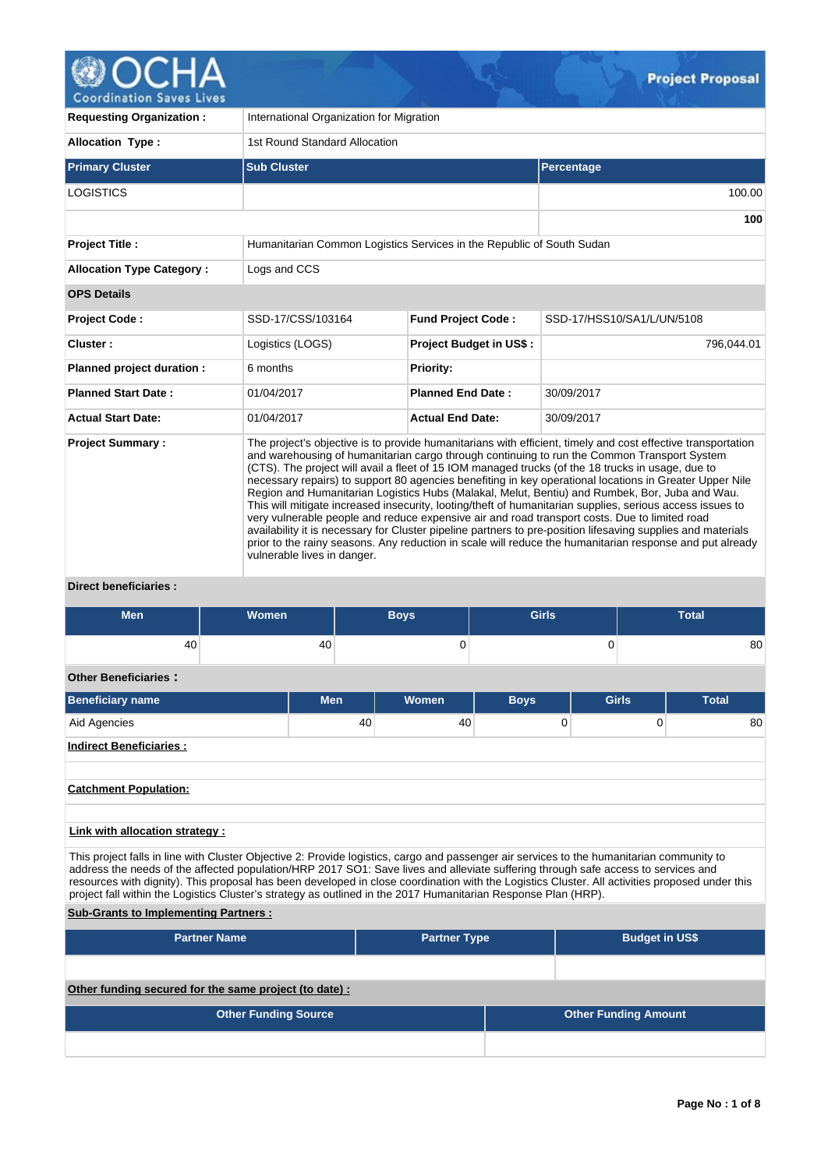

| <b>Requesting Organization:</b>  | International Organization for Migration                                                                                                                                                                                                                                                                                                                                                                                                                                                                                                                                                                                                                                                                                                                                                                                                                                                                                                                                                               |                                |                            |  |  |  |  |  |  |  |
|----------------------------------|--------------------------------------------------------------------------------------------------------------------------------------------------------------------------------------------------------------------------------------------------------------------------------------------------------------------------------------------------------------------------------------------------------------------------------------------------------------------------------------------------------------------------------------------------------------------------------------------------------------------------------------------------------------------------------------------------------------------------------------------------------------------------------------------------------------------------------------------------------------------------------------------------------------------------------------------------------------------------------------------------------|--------------------------------|----------------------------|--|--|--|--|--|--|--|
| <b>Allocation Type:</b>          | 1st Round Standard Allocation                                                                                                                                                                                                                                                                                                                                                                                                                                                                                                                                                                                                                                                                                                                                                                                                                                                                                                                                                                          |                                |                            |  |  |  |  |  |  |  |
| <b>Primary Cluster</b>           | <b>Sub Cluster</b>                                                                                                                                                                                                                                                                                                                                                                                                                                                                                                                                                                                                                                                                                                                                                                                                                                                                                                                                                                                     |                                | Percentage                 |  |  |  |  |  |  |  |
| <b>LOGISTICS</b>                 |                                                                                                                                                                                                                                                                                                                                                                                                                                                                                                                                                                                                                                                                                                                                                                                                                                                                                                                                                                                                        |                                | 100.00                     |  |  |  |  |  |  |  |
|                                  |                                                                                                                                                                                                                                                                                                                                                                                                                                                                                                                                                                                                                                                                                                                                                                                                                                                                                                                                                                                                        |                                | 100                        |  |  |  |  |  |  |  |
| <b>Project Title:</b>            | Humanitarian Common Logistics Services in the Republic of South Sudan                                                                                                                                                                                                                                                                                                                                                                                                                                                                                                                                                                                                                                                                                                                                                                                                                                                                                                                                  |                                |                            |  |  |  |  |  |  |  |
| <b>Allocation Type Category:</b> | Logs and CCS                                                                                                                                                                                                                                                                                                                                                                                                                                                                                                                                                                                                                                                                                                                                                                                                                                                                                                                                                                                           |                                |                            |  |  |  |  |  |  |  |
| <b>OPS Details</b>               |                                                                                                                                                                                                                                                                                                                                                                                                                                                                                                                                                                                                                                                                                                                                                                                                                                                                                                                                                                                                        |                                |                            |  |  |  |  |  |  |  |
| <b>Project Code:</b>             | SSD-17/CSS/103164                                                                                                                                                                                                                                                                                                                                                                                                                                                                                                                                                                                                                                                                                                                                                                                                                                                                                                                                                                                      | <b>Fund Project Code:</b>      | SSD-17/HSS10/SA1/L/UN/5108 |  |  |  |  |  |  |  |
| Cluster:                         | Logistics (LOGS)                                                                                                                                                                                                                                                                                                                                                                                                                                                                                                                                                                                                                                                                                                                                                                                                                                                                                                                                                                                       | <b>Project Budget in US\$:</b> | 796,044.01                 |  |  |  |  |  |  |  |
| Planned project duration :       | 6 months                                                                                                                                                                                                                                                                                                                                                                                                                                                                                                                                                                                                                                                                                                                                                                                                                                                                                                                                                                                               | Priority:                      |                            |  |  |  |  |  |  |  |
| <b>Planned Start Date:</b>       | 01/04/2017                                                                                                                                                                                                                                                                                                                                                                                                                                                                                                                                                                                                                                                                                                                                                                                                                                                                                                                                                                                             | <b>Planned End Date:</b>       | 30/09/2017                 |  |  |  |  |  |  |  |
| <b>Actual Start Date:</b>        | 01/04/2017                                                                                                                                                                                                                                                                                                                                                                                                                                                                                                                                                                                                                                                                                                                                                                                                                                                                                                                                                                                             | <b>Actual End Date:</b>        | 30/09/2017                 |  |  |  |  |  |  |  |
| <b>Project Summary:</b>          | The project's objective is to provide humanitarians with efficient, timely and cost effective transportation<br>and warehousing of humanitarian cargo through continuing to run the Common Transport System<br>(CTS). The project will avail a fleet of 15 IOM managed trucks (of the 18 trucks in usage, due to<br>necessary repairs) to support 80 agencies benefiting in key operational locations in Greater Upper Nile<br>Region and Humanitarian Logistics Hubs (Malakal, Melut, Bentiu) and Rumbek, Bor, Juba and Wau.<br>This will mitigate increased insecurity, looting/theft of humanitarian supplies, serious access issues to<br>very vulnerable people and reduce expensive air and road transport costs. Due to limited road<br>availability it is necessary for Cluster pipeline partners to pre-position lifesaving supplies and materials<br>prior to the rainy seasons. Any reduction in scale will reduce the humanitarian response and put already<br>vulnerable lives in danger. |                                |                            |  |  |  |  |  |  |  |

## **Direct beneficiaries :**

| <b>Men</b>                                                                                                                                                                       | Women |     |    | <b>Boys</b> | <b>Girls</b>   |  | <b>Total</b> |              |              |    |
|----------------------------------------------------------------------------------------------------------------------------------------------------------------------------------|-------|-----|----|-------------|----------------|--|--------------|--------------|--------------|----|
| 40                                                                                                                                                                               |       | 40  |    | 0           | 0              |  |              |              |              | 80 |
| <b>Other Beneficiaries:</b>                                                                                                                                                      |       |     |    |             |                |  |              |              |              |    |
| <b>Beneficiary name</b>                                                                                                                                                          |       | Men |    | Women       | <b>Boys</b>    |  |              | <b>Girls</b> | <b>Total</b> |    |
| Aid Agencies                                                                                                                                                                     |       |     | 40 | 40          | $\overline{0}$ |  |              | $\Omega$     |              | 80 |
| <b>Indirect Beneficiaries:</b>                                                                                                                                                   |       |     |    |             |                |  |              |              |              |    |
|                                                                                                                                                                                  |       |     |    |             |                |  |              |              |              |    |
| <b>Catchment Population:</b>                                                                                                                                                     |       |     |    |             |                |  |              |              |              |    |
|                                                                                                                                                                                  |       |     |    |             |                |  |              |              |              |    |
| Link with allocation strategy :<br>This much at falls in the colds Observation On Daniella Installation and an annual above the dead of the Inconsideration and material and the |       |     |    |             |                |  |              |              |              |    |

This project falls in line with Cluster Objective 2: Provide logistics, cargo and passenger air services to the humanitarian community to address the needs of the affected population/HRP 2017 SO1: Save lives and alleviate suffering through safe access to services and resources with dignity). This proposal has been developed in close coordination with the Logistics Cluster. All activities proposed under this project fall within the Logistics Cluster's strategy as outlined in the 2017 Humanitarian Response Plan (HRP).

# **Sub-Grants to Implementing Partners :**

| <b>Partner Name</b>                                   | <b>Partner Type</b> |  | <b>Budget in US\$</b>       |  |  |  |  |
|-------------------------------------------------------|---------------------|--|-----------------------------|--|--|--|--|
|                                                       |                     |  |                             |  |  |  |  |
| Other funding secured for the same project (to date): |                     |  |                             |  |  |  |  |
| <b>Other Funding Source</b>                           |                     |  | <b>Other Funding Amount</b> |  |  |  |  |
|                                                       |                     |  |                             |  |  |  |  |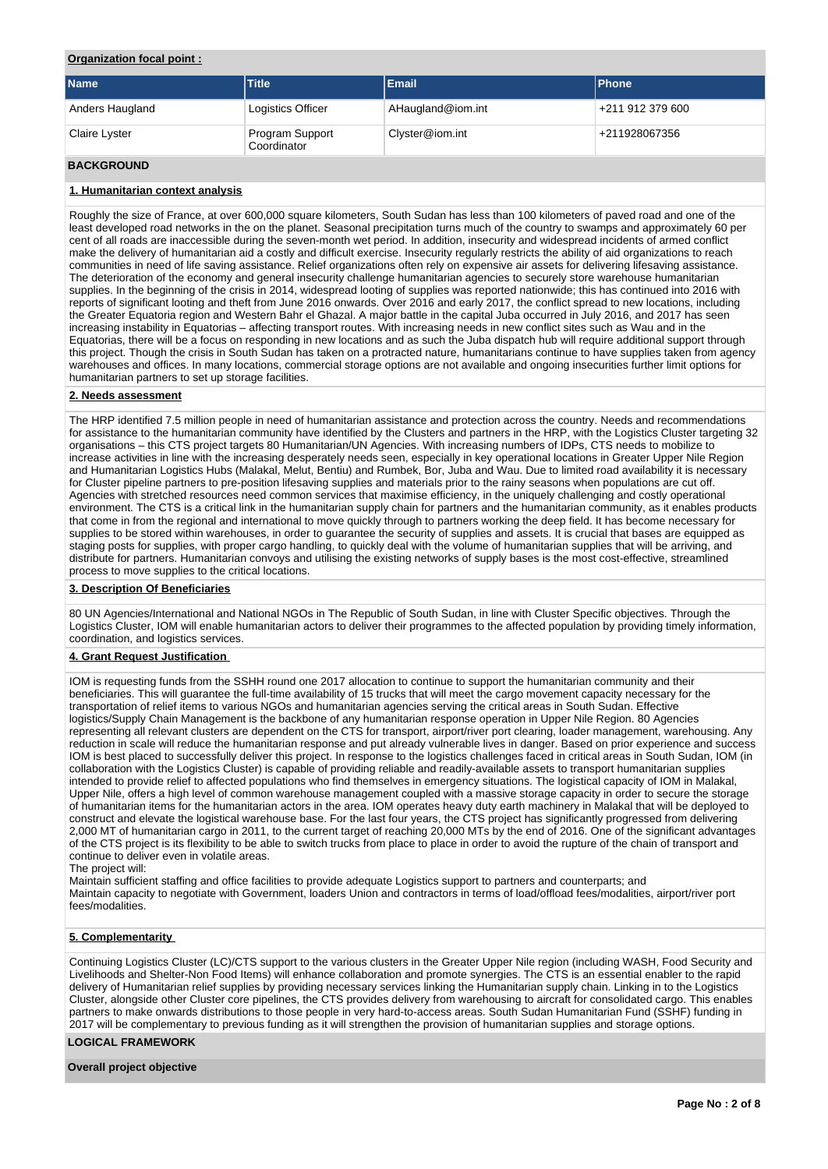# **Organization focal point :**

| <b>Name</b>     | <b>Title</b>                   | Email             | <b>Phone</b>     |
|-----------------|--------------------------------|-------------------|------------------|
| Anders Haugland | Logistics Officer              | AHaugland@iom.int | +211 912 379 600 |
| Claire Lyster   | Program Support<br>Coordinator | Clyster@iom.int   | +211928067356    |

# **BACKGROUND**

# **1. Humanitarian context analysis**

Roughly the size of France, at over 600,000 square kilometers, South Sudan has less than 100 kilometers of paved road and one of the least developed road networks in the on the planet. Seasonal precipitation turns much of the country to swamps and approximately 60 per cent of all roads are inaccessible during the seven-month wet period. In addition, insecurity and widespread incidents of armed conflict make the delivery of humanitarian aid a costly and difficult exercise. Insecurity regularly restricts the ability of aid organizations to reach communities in need of life saving assistance. Relief organizations often rely on expensive air assets for delivering lifesaving assistance. The deterioration of the economy and general insecurity challenge humanitarian agencies to securely store warehouse humanitarian supplies. In the beginning of the crisis in 2014, widespread looting of supplies was reported nationwide; this has continued into 2016 with reports of significant looting and theft from June 2016 onwards. Over 2016 and early 2017, the conflict spread to new locations, including the Greater Equatoria region and Western Bahr el Ghazal. A major battle in the capital Juba occurred in July 2016, and 2017 has seen increasing instability in Equatorias – affecting transport routes. With increasing needs in new conflict sites such as Wau and in the Equatorias, there will be a focus on responding in new locations and as such the Juba dispatch hub will require additional support through this project. Though the crisis in South Sudan has taken on a protracted nature, humanitarians continue to have supplies taken from agency warehouses and offices. In many locations, commercial storage options are not available and ongoing insecurities further limit options for humanitarian partners to set up storage facilities.

### **2. Needs assessment**

The HRP identified 7.5 million people in need of humanitarian assistance and protection across the country. Needs and recommendations for assistance to the humanitarian community have identified by the Clusters and partners in the HRP, with the Logistics Cluster targeting 32 organisations – this CTS project targets 80 Humanitarian/UN Agencies. With increasing numbers of IDPs, CTS needs to mobilize to increase activities in line with the increasing desperately needs seen, especially in key operational locations in Greater Upper Nile Region and Humanitarian Logistics Hubs (Malakal, Melut, Bentiu) and Rumbek, Bor, Juba and Wau. Due to limited road availability it is necessary for Cluster pipeline partners to pre-position lifesaving supplies and materials prior to the rainy seasons when populations are cut off. Agencies with stretched resources need common services that maximise efficiency, in the uniquely challenging and costly operational environment. The CTS is a critical link in the humanitarian supply chain for partners and the humanitarian community, as it enables products that come in from the regional and international to move quickly through to partners working the deep field. It has become necessary for supplies to be stored within warehouses, in order to guarantee the security of supplies and assets. It is crucial that bases are equipped as staging posts for supplies, with proper cargo handling, to quickly deal with the volume of humanitarian supplies that will be arriving, and distribute for partners. Humanitarian convoys and utilising the existing networks of supply bases is the most cost-effective, streamlined process to move supplies to the critical locations.

### **3. Description Of Beneficiaries**

80 UN Agencies/International and National NGOs in The Republic of South Sudan, in line with Cluster Specific objectives. Through the Logistics Cluster, IOM will enable humanitarian actors to deliver their programmes to the affected population by providing timely information, coordination, and logistics services.

### **4. Grant Request Justification**

IOM is requesting funds from the SSHH round one 2017 allocation to continue to support the humanitarian community and their beneficiaries. This will guarantee the full-time availability of 15 trucks that will meet the cargo movement capacity necessary for the transportation of relief items to various NGOs and humanitarian agencies serving the critical areas in South Sudan. Effective logistics/Supply Chain Management is the backbone of any humanitarian response operation in Upper Nile Region. 80 Agencies representing all relevant clusters are dependent on the CTS for transport, airport/river port clearing, loader management, warehousing. Any reduction in scale will reduce the humanitarian response and put already vulnerable lives in danger. Based on prior experience and success IOM is best placed to successfully deliver this project. In response to the logistics challenges faced in critical areas in South Sudan, IOM (in collaboration with the Logistics Cluster) is capable of providing reliable and readily-available assets to transport humanitarian supplies intended to provide relief to affected populations who find themselves in emergency situations. The logistical capacity of IOM in Malakal, Upper Nile, offers a high level of common warehouse management coupled with a massive storage capacity in order to secure the storage of humanitarian items for the humanitarian actors in the area. IOM operates heavy duty earth machinery in Malakal that will be deployed to construct and elevate the logistical warehouse base. For the last four years, the CTS project has significantly progressed from delivering 2,000 MT of humanitarian cargo in 2011, to the current target of reaching 20,000 MTs by the end of 2016. One of the significant advantages of the CTS project is its flexibility to be able to switch trucks from place to place in order to avoid the rupture of the chain of transport and continue to deliver even in volatile areas.

#### The project will:

Maintain sufficient staffing and office facilities to provide adequate Logistics support to partners and counterparts; and Maintain capacity to negotiate with Government, loaders Union and contractors in terms of load/offload fees/modalities, airport/river port fees/modalities.

### **5. Complementarity**

Continuing Logistics Cluster (LC)/CTS support to the various clusters in the Greater Upper Nile region (including WASH, Food Security and Livelihoods and Shelter-Non Food Items) will enhance collaboration and promote synergies. The CTS is an essential enabler to the rapid delivery of Humanitarian relief supplies by providing necessary services linking the Humanitarian supply chain. Linking in to the Logistics Cluster, alongside other Cluster core pipelines, the CTS provides delivery from warehousing to aircraft for consolidated cargo. This enables partners to make onwards distributions to those people in very hard-to-access areas. South Sudan Humanitarian Fund (SSHF) funding in 2017 will be complementary to previous funding as it will strengthen the provision of humanitarian supplies and storage options.

# **LOGICAL FRAMEWORK**

**Overall project objective**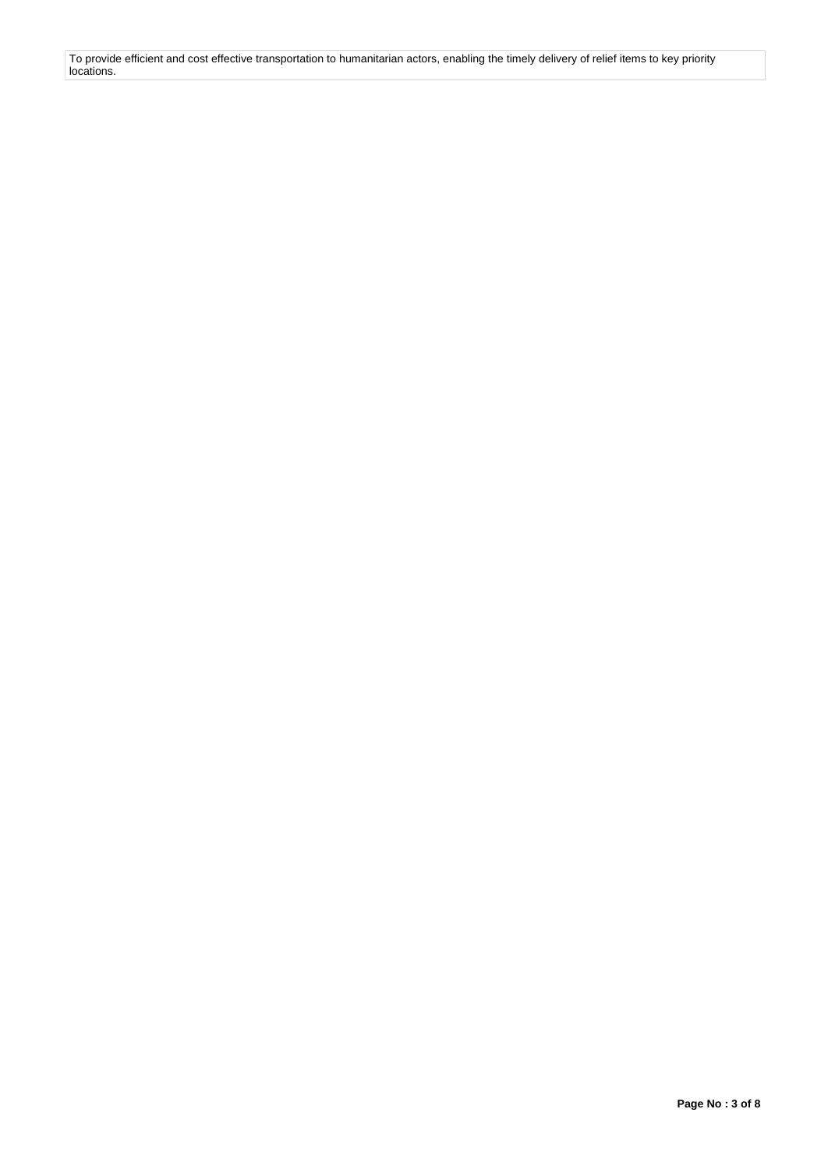To provide efficient and cost effective transportation to humanitarian actors, enabling the timely delivery of relief items to key priority locations.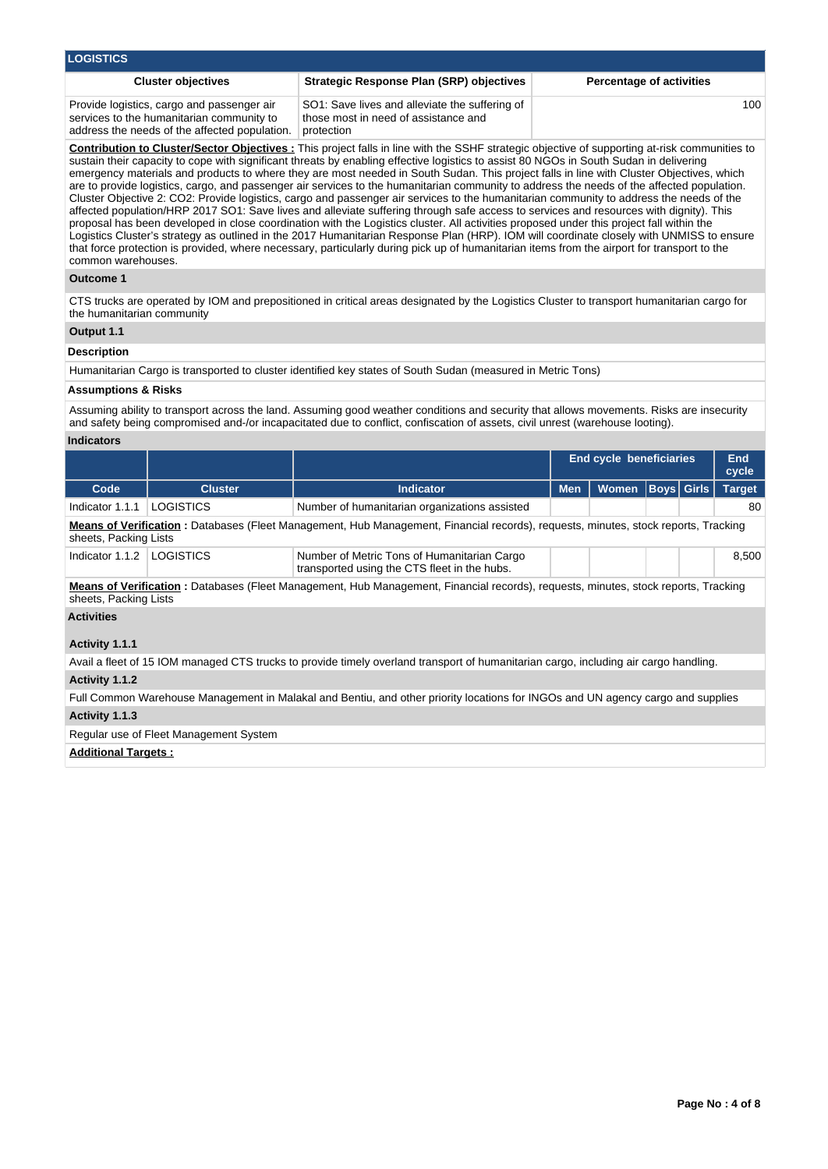| <b>LOGISTICS</b>                                                                                                                         |                                                                                                                                                                                                                                                                                                                                                                                                                                                                                                                                                                                                                                                                                                                                                                                                                                                                                 |                                 |  |  |  |  |  |  |  |
|------------------------------------------------------------------------------------------------------------------------------------------|---------------------------------------------------------------------------------------------------------------------------------------------------------------------------------------------------------------------------------------------------------------------------------------------------------------------------------------------------------------------------------------------------------------------------------------------------------------------------------------------------------------------------------------------------------------------------------------------------------------------------------------------------------------------------------------------------------------------------------------------------------------------------------------------------------------------------------------------------------------------------------|---------------------------------|--|--|--|--|--|--|--|
| <b>Cluster objectives</b>                                                                                                                | <b>Strategic Response Plan (SRP) objectives</b>                                                                                                                                                                                                                                                                                                                                                                                                                                                                                                                                                                                                                                                                                                                                                                                                                                 | <b>Percentage of activities</b> |  |  |  |  |  |  |  |
| Provide logistics, cargo and passenger air<br>services to the humanitarian community to<br>address the needs of the affected population. | SO1: Save lives and alleviate the suffering of<br>those most in need of assistance and<br>protection                                                                                                                                                                                                                                                                                                                                                                                                                                                                                                                                                                                                                                                                                                                                                                            | 100                             |  |  |  |  |  |  |  |
|                                                                                                                                          | <b>Contribution to Cluster/Sector Objectives:</b> This project falls in line with the SSHF strategic objective of supporting at-risk communities to<br>sustain their capacity to cope with significant threats by enabling effective logistics to assist 80 NGOs in South Sudan in delivering<br>emergency materials and products to where they are most needed in South Sudan. This project falls in line with Cluster Objectives, which<br>are to provide logistics, cargo, and passenger air services to the humanitarian community to address the needs of the affected population.<br>Cluster Objective 2: CO2: Provide logistics, cargo and passenger air services to the humanitarian community to address the needs of the<br>offected non-letian (LIDD 9047 CO4) Cove lives and allowinte outfering through acts access to convicte and resources with dignituly. This |                                 |  |  |  |  |  |  |  |

affected population/HRP 2017 SO1: Save lives and alleviate suffering through safe access to services and resources with dignity). This proposal has been developed in close coordination with the Logistics cluster. All activities proposed under this project fall within the Logistics Cluster's strategy as outlined in the 2017 Humanitarian Response Plan (HRP). IOM will coordinate closely with UNMISS to ensure that force protection is provided, where necessary, particularly during pick up of humanitarian items from the airport for transport to the common warehouses.

## **Outcome 1**

CTS trucks are operated by IOM and prepositioned in critical areas designated by the Logistics Cluster to transport humanitarian cargo for the humanitarian community

# **Output 1.1**

# **Description**

Humanitarian Cargo is transported to cluster identified key states of South Sudan (measured in Metric Tons)

## **Assumptions & Risks**

Assuming ability to transport across the land. Assuming good weather conditions and security that allows movements. Risks are insecurity and safety being compromised and-/or incapacitated due to conflict, confiscation of assets, civil unrest (warehouse looting).

# **Indicators**

|                                                                                                                                                             |                |                                                                                             |            | End cycle beneficiaries |                   |  | End<br>cycle  |  |  |  |
|-------------------------------------------------------------------------------------------------------------------------------------------------------------|----------------|---------------------------------------------------------------------------------------------|------------|-------------------------|-------------------|--|---------------|--|--|--|
| Code                                                                                                                                                        | <b>Cluster</b> | <b>Indicator</b>                                                                            | <b>Men</b> | <b>Women</b>            | <b>Boys Girls</b> |  | <b>Target</b> |  |  |  |
| Indicator 1.1.1                                                                                                                                             | LOGISTICS      | Number of humanitarian organizations assisted                                               |            |                         |                   |  | 80            |  |  |  |
| Means of Verification: Databases (Fleet Management, Hub Management, Financial records), requests, minutes, stock reports, Tracking<br>sheets, Packing Lists |                |                                                                                             |            |                         |                   |  |               |  |  |  |
| Indicator 1.1.2                                                                                                                                             | LOGISTICS      | Number of Metric Tons of Humanitarian Cargo<br>transported using the CTS fleet in the hubs. |            |                         |                   |  | 8.500         |  |  |  |
| Means of Verification: Databases (Fleet Management, Hub Management, Financial records), requests, minutes, stock reports, Tracking<br>sheets, Packing Lists |                |                                                                                             |            |                         |                   |  |               |  |  |  |
| <b>Activities</b>                                                                                                                                           |                |                                                                                             |            |                         |                   |  |               |  |  |  |

# **Activity 1.1.1**

Avail a fleet of 15 IOM managed CTS trucks to provide timely overland transport of humanitarian cargo, including air cargo handling.

# **Activity 1.1.2**

Full Common Warehouse Management in Malakal and Bentiu, and other priority locations for INGOs and UN agency cargo and supplies

# **Activity 1.1.3**

# Regular use of Fleet Management System

## **Additional Targets :**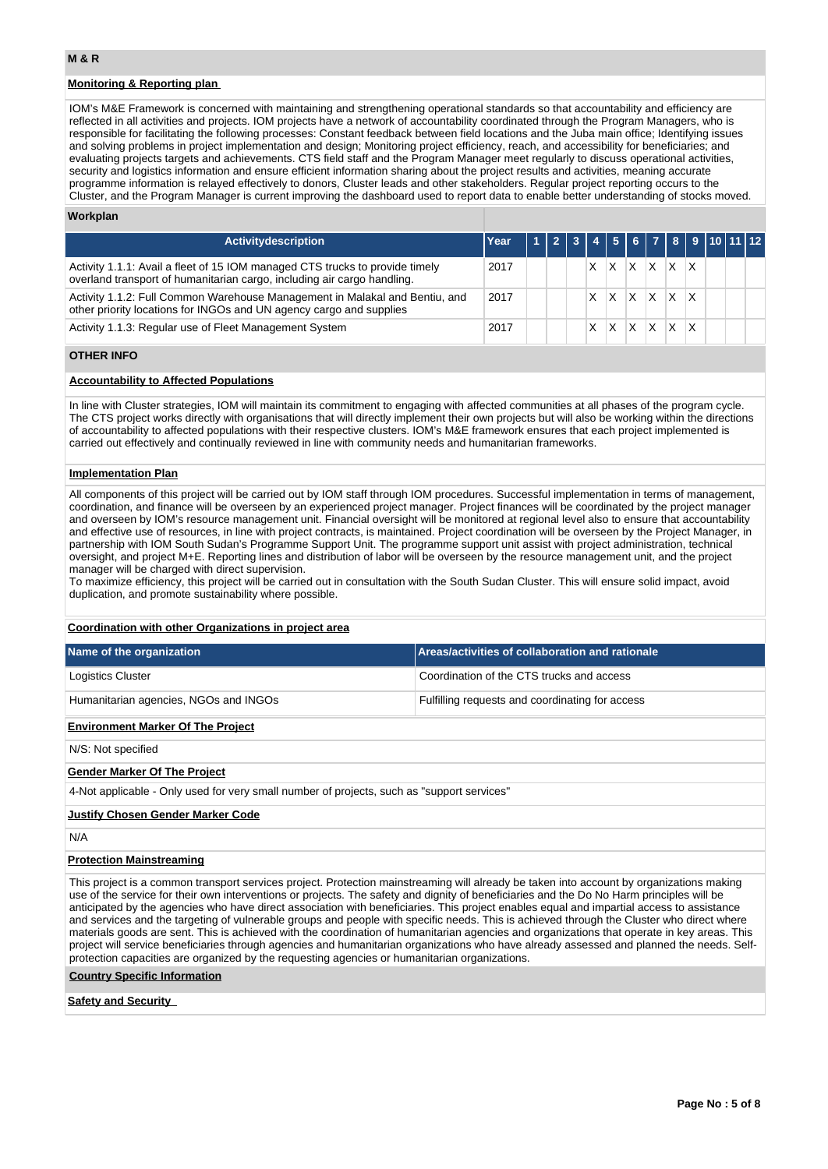# **Monitoring & Reporting plan**

IOM's M&E Framework is concerned with maintaining and strengthening operational standards so that accountability and efficiency are reflected in all activities and projects. IOM projects have a network of accountability coordinated through the Program Managers, who is responsible for facilitating the following processes: Constant feedback between field locations and the Juba main office; Identifying issues and solving problems in project implementation and design; Monitoring project efficiency, reach, and accessibility for beneficiaries; and evaluating projects targets and achievements. CTS field staff and the Program Manager meet regularly to discuss operational activities, security and logistics information and ensure efficient information sharing about the project results and activities, meaning accurate programme information is relayed effectively to donors, Cluster leads and other stakeholders. Regular project reporting occurs to the Cluster, and the Program Manager is current improving the dashboard used to report data to enable better understanding of stocks moved.

### **Workplan**

| <b>Activitydescription</b>                                                                                                                              | Year |  |   |              |          |     |                 | 4 5 6 7 8 9 10 11 12 |  |  |
|---------------------------------------------------------------------------------------------------------------------------------------------------------|------|--|---|--------------|----------|-----|-----------------|----------------------|--|--|
| Activity 1.1.1: Avail a fleet of 15 IOM managed CTS trucks to provide timely<br>overland transport of humanitarian cargo, including air cargo handling. | 2017 |  | x | ΙX           | X.       | IX. | $X$ $X$         |                      |  |  |
| Activity 1.1.2: Full Common Warehouse Management in Malakal and Bentiu, and<br>other priority locations for INGOs and UN agency cargo and supplies      | 2017 |  |   | X            | $\times$ |     | $X$ $X$ $X$     |                      |  |  |
| Activity 1.1.3: Regular use of Fleet Management System                                                                                                  | 2017 |  |   | $\mathsf{X}$ |          |     | $X$ $X$ $X$ $X$ |                      |  |  |

## **OTHER INFO**

### **Accountability to Affected Populations**

In line with Cluster strategies, IOM will maintain its commitment to engaging with affected communities at all phases of the program cycle. The CTS project works directly with organisations that will directly implement their own projects but will also be working within the directions of accountability to affected populations with their respective clusters. IOM's M&E framework ensures that each project implemented is carried out effectively and continually reviewed in line with community needs and humanitarian frameworks.

#### **Implementation Plan**

All components of this project will be carried out by IOM staff through IOM procedures. Successful implementation in terms of management, coordination, and finance will be overseen by an experienced project manager. Project finances will be coordinated by the project manager and overseen by IOM's resource management unit. Financial oversight will be monitored at regional level also to ensure that accountability and effective use of resources, in line with project contracts, is maintained. Project coordination will be overseen by the Project Manager, in partnership with IOM South Sudan's Programme Support Unit. The programme support unit assist with project administration, technical oversight, and project M+E. Reporting lines and distribution of labor will be overseen by the resource management unit, and the project manager will be charged with direct supervision.

To maximize efficiency, this project will be carried out in consultation with the South Sudan Cluster. This will ensure solid impact, avoid duplication, and promote sustainability where possible.

## **Coordination with other Organizations in project area**

| Name of the organization                                                                                                                                                                                                                                                                                                                                                                                                                                                                                                                                                                                                                                                                                                       | Areas/activities of collaboration and rationale |  |  |  |  |  |  |  |  |
|--------------------------------------------------------------------------------------------------------------------------------------------------------------------------------------------------------------------------------------------------------------------------------------------------------------------------------------------------------------------------------------------------------------------------------------------------------------------------------------------------------------------------------------------------------------------------------------------------------------------------------------------------------------------------------------------------------------------------------|-------------------------------------------------|--|--|--|--|--|--|--|--|
| Logistics Cluster                                                                                                                                                                                                                                                                                                                                                                                                                                                                                                                                                                                                                                                                                                              | Coordination of the CTS trucks and access       |  |  |  |  |  |  |  |  |
| Humanitarian agencies, NGOs and INGOs                                                                                                                                                                                                                                                                                                                                                                                                                                                                                                                                                                                                                                                                                          | Fulfilling requests and coordinating for access |  |  |  |  |  |  |  |  |
| <b>Environment Marker Of The Project</b>                                                                                                                                                                                                                                                                                                                                                                                                                                                                                                                                                                                                                                                                                       |                                                 |  |  |  |  |  |  |  |  |
| N/S: Not specified                                                                                                                                                                                                                                                                                                                                                                                                                                                                                                                                                                                                                                                                                                             |                                                 |  |  |  |  |  |  |  |  |
| <b>Gender Marker Of The Project</b>                                                                                                                                                                                                                                                                                                                                                                                                                                                                                                                                                                                                                                                                                            |                                                 |  |  |  |  |  |  |  |  |
| 4-Not applicable - Only used for very small number of projects, such as "support services"                                                                                                                                                                                                                                                                                                                                                                                                                                                                                                                                                                                                                                     |                                                 |  |  |  |  |  |  |  |  |
| <b>Justify Chosen Gender Marker Code</b>                                                                                                                                                                                                                                                                                                                                                                                                                                                                                                                                                                                                                                                                                       |                                                 |  |  |  |  |  |  |  |  |
| N/A                                                                                                                                                                                                                                                                                                                                                                                                                                                                                                                                                                                                                                                                                                                            |                                                 |  |  |  |  |  |  |  |  |
| <b>Protection Mainstreaming</b>                                                                                                                                                                                                                                                                                                                                                                                                                                                                                                                                                                                                                                                                                                |                                                 |  |  |  |  |  |  |  |  |
| This project is a common transport services project. Protection mainstreaming will already be taken into account by organizations making<br>use of the service for their own interventions or projects. The safety and dignity of beneficiaries and the Do No Harm principles will be<br>anticipated by the agencies who have direct association with beneficiaries. This project enables equal and impartial access to assistance<br>and services and the targeting of vulnerable groups and people with specific needs. This is achieved through the Cluster who direct where<br>materials goods are sent. This is achieved with the coordination of humanitarian agencies and organizations that operate in key areas. This |                                                 |  |  |  |  |  |  |  |  |

project will service beneficiaries through agencies and humanitarian organizations who have already assessed and planned the needs. Self-

protection capacities are organized by the requesting agencies or humanitarian organizations.

**Country Specific Information**

### **Safety and Security**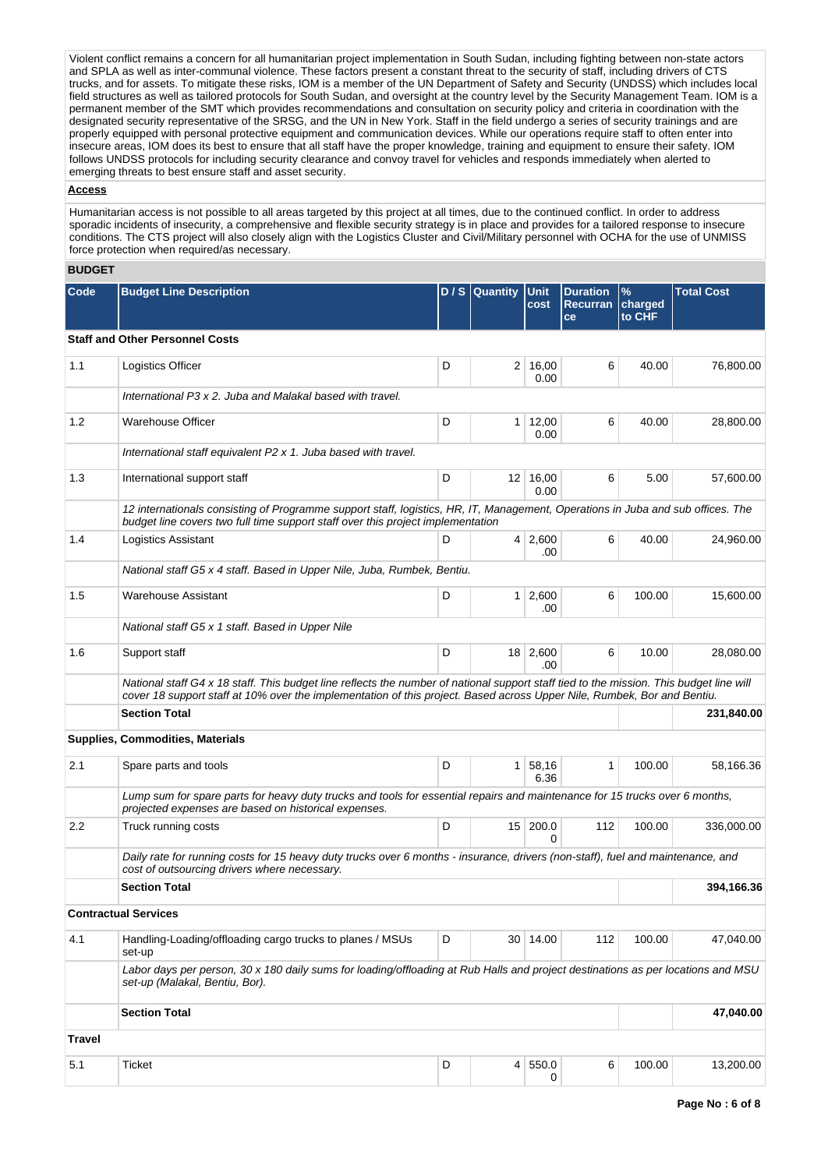Violent conflict remains a concern for all humanitarian project implementation in South Sudan, including fighting between non-state actors and SPLA as well as inter-communal violence. These factors present a constant threat to the security of staff, including drivers of CTS trucks, and for assets. To mitigate these risks, IOM is a member of the UN Department of Safety and Security (UNDSS) which includes local field structures as well as tailored protocols for South Sudan, and oversight at the country level by the Security Management Team. IOM is a permanent member of the SMT which provides recommendations and consultation on security policy and criteria in coordination with the designated security representative of the SRSG, and the UN in New York. Staff in the field undergo a series of security trainings and are properly equipped with personal protective equipment and communication devices. While our operations require staff to often enter into insecure areas, IOM does its best to ensure that all staff have the proper knowledge, training and equipment to ensure their safety. IOM follows UNDSS protocols for including security clearance and convoy travel for vehicles and responds immediately when alerted to emerging threats to best ensure staff and asset security.

### **Access**

Humanitarian access is not possible to all areas targeted by this project at all times, due to the continued conflict. In order to address sporadic incidents of insecurity, a comprehensive and flexible security strategy is in place and provides for a tailored response to insecure conditions. The CTS project will also closely align with the Logistics Cluster and Civil/Military personnel with OCHA for the use of UNMISS force protection when required/as necessary.

## **BUDGET**

| Code          | <b>Budget Line Description</b>                                                                                                                                                                                                                                     |   | D / S Quantity | Unit<br>cost            | <b>Duration</b><br>Recurran<br>ce | $\%$<br>charged<br>to CHF | <b>Total Cost</b> |
|---------------|--------------------------------------------------------------------------------------------------------------------------------------------------------------------------------------------------------------------------------------------------------------------|---|----------------|-------------------------|-----------------------------------|---------------------------|-------------------|
|               | <b>Staff and Other Personnel Costs</b>                                                                                                                                                                                                                             |   |                |                         |                                   |                           |                   |
| 1.1           | Logistics Officer                                                                                                                                                                                                                                                  | D | 2 <sup>1</sup> | 16,00<br>0.00           | 6                                 | 40.00                     | 76,800.00         |
|               | International P3 x 2. Juba and Malakal based with travel.                                                                                                                                                                                                          |   |                |                         |                                   |                           |                   |
| 1.2           | <b>Warehouse Officer</b>                                                                                                                                                                                                                                           | D |                | $1 \mid 12,00$<br>0.00  | 6                                 | 40.00                     | 28,800.00         |
|               | International staff equivalent P2 x 1. Juba based with travel.                                                                                                                                                                                                     |   |                |                         |                                   |                           |                   |
| 1.3           | International support staff                                                                                                                                                                                                                                        | D |                | $12 \mid 16,00$<br>0.00 | 6                                 | 5.00                      | 57,600.00         |
|               | 12 internationals consisting of Programme support staff, logistics, HR, IT, Management, Operations in Juba and sub offices. The<br>budget line covers two full time support staff over this project implementation                                                 |   |                |                         |                                   |                           |                   |
| 1.4           | Logistics Assistant                                                                                                                                                                                                                                                | D |                | $4 \mid 2,600$<br>.00   | 6                                 | 40.00                     | 24,960.00         |
|               | National staff G5 x 4 staff. Based in Upper Nile, Juba, Rumbek, Bentiu.                                                                                                                                                                                            |   |                |                         |                                   |                           |                   |
| 1.5           | Warehouse Assistant                                                                                                                                                                                                                                                | D |                | $1 \ 2,600$<br>.00      | 6                                 | 100.00                    | 15,600.00         |
|               | National staff G5 x 1 staff. Based in Upper Nile                                                                                                                                                                                                                   |   |                |                         |                                   |                           |                   |
| 1.6           | Support staff                                                                                                                                                                                                                                                      | D |                | 18 2,600<br>.00         | 6                                 | 10.00                     | 28,080.00         |
|               | National staff G4 x 18 staff. This budget line reflects the number of national support staff tied to the mission. This budget line will<br>cover 18 support staff at 10% over the implementation of this project. Based across Upper Nile, Rumbek, Bor and Bentiu. |   |                |                         |                                   |                           |                   |
|               | <b>Section Total</b>                                                                                                                                                                                                                                               |   |                |                         |                                   |                           | 231,840.00        |
|               | Supplies, Commodities, Materials                                                                                                                                                                                                                                   |   |                |                         |                                   |                           |                   |
| 2.1           | Spare parts and tools                                                                                                                                                                                                                                              | D |                | 1 58,16<br>6.36         | 1                                 | 100.00                    | 58,166.36         |
|               | Lump sum for spare parts for heavy duty trucks and tools for essential repairs and maintenance for 15 trucks over 6 months,<br>projected expenses are based on historical expenses.                                                                                |   |                |                         |                                   |                           |                   |
| $2.2\,$       | Truck running costs                                                                                                                                                                                                                                                | D |                | $15$ 200.0<br>0         | 112                               | 100.00                    | 336,000.00        |
|               | Daily rate for running costs for 15 heavy duty trucks over 6 months - insurance, drivers (non-staff), fuel and maintenance, and<br>cost of outsourcing drivers where necessary.                                                                                    |   |                |                         |                                   |                           |                   |
|               | <b>Section Total</b>                                                                                                                                                                                                                                               |   |                |                         |                                   |                           | 394,166.36        |
|               | <b>Contractual Services</b>                                                                                                                                                                                                                                        |   |                |                         |                                   |                           |                   |
| 4.1           | Handling-Loading/offloading cargo trucks to planes / MSUs<br>set-up                                                                                                                                                                                                | D |                | 30 14.00                | 112                               | 100.00                    | 47,040.00         |
|               | Labor days per person, 30 x 180 daily sums for loading/offloading at Rub Halls and project destinations as per locations and MSU<br>set-up (Malakal, Bentiu, Bor).                                                                                                 |   |                |                         |                                   |                           |                   |
|               | <b>Section Total</b>                                                                                                                                                                                                                                               |   |                |                         |                                   |                           | 47,040.00         |
| <b>Travel</b> |                                                                                                                                                                                                                                                                    |   |                |                         |                                   |                           |                   |
| 5.1           | <b>Ticket</b>                                                                                                                                                                                                                                                      | D |                | 4 550.0<br>0            | 6                                 | 100.00                    | 13,200.00         |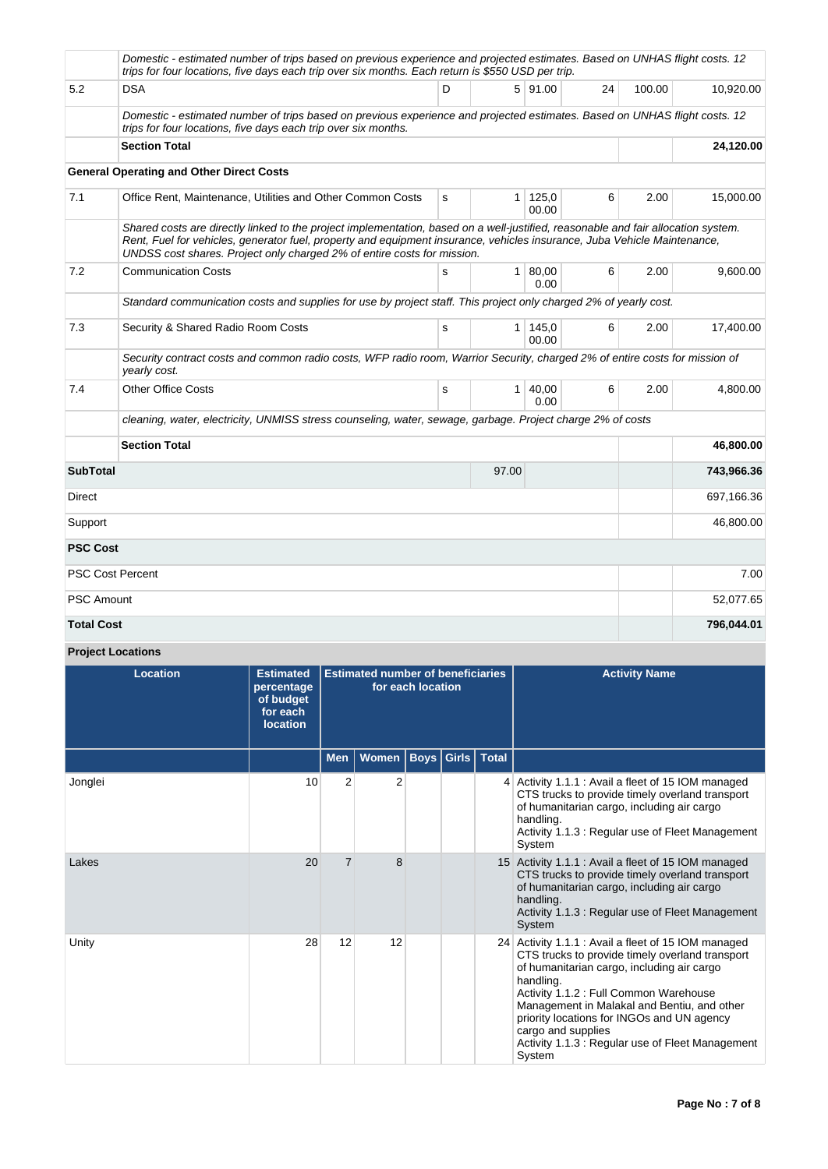|                   | Domestic - estimated number of trips based on previous experience and projected estimates. Based on UNHAS flight costs. 12<br>trips for four locations, five days each trip over six months. Each return is \$550 USD per trip.                                                                                                          |   |                |                      |    |        |            |
|-------------------|------------------------------------------------------------------------------------------------------------------------------------------------------------------------------------------------------------------------------------------------------------------------------------------------------------------------------------------|---|----------------|----------------------|----|--------|------------|
| 5.2               | <b>DSA</b>                                                                                                                                                                                                                                                                                                                               | D |                | 5 91.00              | 24 | 100.00 | 10,920.00  |
|                   | Domestic - estimated number of trips based on previous experience and projected estimates. Based on UNHAS flight costs. 12<br>trips for four locations, five days each trip over six months.                                                                                                                                             |   |                |                      |    |        |            |
|                   | <b>Section Total</b>                                                                                                                                                                                                                                                                                                                     |   | 24,120.00      |                      |    |        |            |
|                   | <b>General Operating and Other Direct Costs</b>                                                                                                                                                                                                                                                                                          |   |                |                      |    |        |            |
| 7.1               | Office Rent, Maintenance, Utilities and Other Common Costs                                                                                                                                                                                                                                                                               | s | 1 <sup>1</sup> | 125,0<br>00.00       | 6  | 2.00   | 15,000.00  |
|                   | Shared costs are directly linked to the project implementation, based on a well-justified, reasonable and fair allocation system.<br>Rent, Fuel for vehicles, generator fuel, property and equipment insurance, vehicles insurance, Juba Vehicle Maintenance,<br>UNDSS cost shares. Project only charged 2% of entire costs for mission. |   |                |                      |    |        |            |
| 7.2               | <b>Communication Costs</b>                                                                                                                                                                                                                                                                                                               | s |                | $1 \, 80,00$<br>0.00 | 6  | 2.00   | 9,600.00   |
|                   | Standard communication costs and supplies for use by project staff. This project only charged 2% of yearly cost.                                                                                                                                                                                                                         |   |                |                      |    |        |            |
| 7.3               | Security & Shared Radio Room Costs                                                                                                                                                                                                                                                                                                       | s |                | 1 145,0<br>00.00     | 6  | 2.00   | 17,400.00  |
|                   | Security contract costs and common radio costs, WFP radio room, Warrior Security, charged 2% of entire costs for mission of<br>yearly cost.                                                                                                                                                                                              |   |                |                      |    |        |            |
| 7.4               | <b>Other Office Costs</b>                                                                                                                                                                                                                                                                                                                | s |                | $1 \, 40.00$<br>0.00 | 6  | 2.00   | 4,800.00   |
|                   | cleaning, water, electricity, UNMISS stress counseling, water, sewage, garbage. Project charge 2% of costs                                                                                                                                                                                                                               |   |                |                      |    |        |            |
|                   | <b>Section Total</b>                                                                                                                                                                                                                                                                                                                     |   |                |                      |    |        | 46,800.00  |
| <b>SubTotal</b>   |                                                                                                                                                                                                                                                                                                                                          |   | 97.00          |                      |    |        | 743,966.36 |
| Direct            |                                                                                                                                                                                                                                                                                                                                          |   |                |                      |    |        | 697,166.36 |
| Support           |                                                                                                                                                                                                                                                                                                                                          |   |                |                      |    |        | 46,800.00  |
| <b>PSC Cost</b>   |                                                                                                                                                                                                                                                                                                                                          |   |                |                      |    |        |            |
|                   | <b>PSC Cost Percent</b>                                                                                                                                                                                                                                                                                                                  |   |                |                      |    |        | 7.00       |
| <b>PSC Amount</b> |                                                                                                                                                                                                                                                                                                                                          |   |                |                      |    |        | 52,077.65  |
| <b>Total Cost</b> |                                                                                                                                                                                                                                                                                                                                          |   |                |                      |    |        | 796,044.01 |

**Project Locations**

| <b>Location</b> | <b>Estimated</b><br>percentage<br>of budget<br>for each<br><b>location</b> | <b>Estimated number of beneficiaries</b><br>for each location |                |  |                         |  | <b>Activity Name</b>                                                                                                                                                                                                                                                                                                                                                                         |
|-----------------|----------------------------------------------------------------------------|---------------------------------------------------------------|----------------|--|-------------------------|--|----------------------------------------------------------------------------------------------------------------------------------------------------------------------------------------------------------------------------------------------------------------------------------------------------------------------------------------------------------------------------------------------|
|                 |                                                                            | <b>Men</b>                                                    | Women          |  | <b>Boys Girls Total</b> |  |                                                                                                                                                                                                                                                                                                                                                                                              |
| Jonglei         | 10                                                                         | $\overline{2}$                                                | $\overline{2}$ |  |                         |  | 4 Activity 1.1.1 : Avail a fleet of 15 IOM managed<br>CTS trucks to provide timely overland transport<br>of humanitarian cargo, including air cargo<br>handling.<br>Activity 1.1.3 : Regular use of Fleet Management<br>System                                                                                                                                                               |
| Lakes           | 20                                                                         | $\overline{7}$                                                | 8              |  |                         |  | 15 Activity 1.1.1 : Avail a fleet of 15 IOM managed<br>CTS trucks to provide timely overland transport<br>of humanitarian cargo, including air cargo<br>handling.<br>Activity 1.1.3 : Regular use of Fleet Management<br>System                                                                                                                                                              |
| Unity           | 28                                                                         | 12                                                            | 12             |  |                         |  | 24 Activity 1.1.1 : Avail a fleet of 15 IOM managed<br>CTS trucks to provide timely overland transport<br>of humanitarian cargo, including air cargo<br>handling.<br>Activity 1.1.2 : Full Common Warehouse<br>Management in Malakal and Bentiu, and other<br>priority locations for INGOs and UN agency<br>cargo and supplies<br>Activity 1.1.3 : Regular use of Fleet Management<br>System |